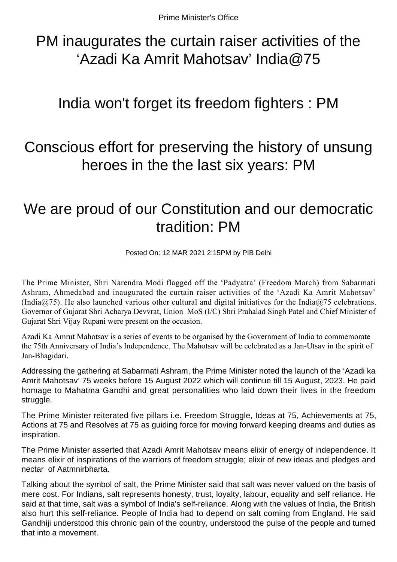PM inaugurates the curtain raiser activities of the 'Azadi Ka Amrit Mahotsav' India@75

## India won't forget its freedom fighters : PM

## Conscious effort for preserving the history of unsung heroes in the the last six years: PM

## We are proud of our Constitution and our democratic tradition: PM

Posted On: 12 MAR 2021 2:15PM by PIB Delhi

The Prime Minister, Shri Narendra Modi flagged off the 'Padyatra' (Freedom March) from Sabarmati Ashram, Ahmedabad and inaugurated the curtain raiser activities of the 'Azadi Ka Amrit Mahotsav' (India $\omega$ 75). He also launched various other cultural and digital initiatives for the India $\omega$ 75 celebrations. Governor of Gujarat Shri Acharya Devvrat, Union MoS (I/C) Shri Prahalad Singh Patel and Chief Minister of Gujarat Shri Vijay Rupani were present on the occasion.

Azadi Ka Amrut Mahotsav is a series of events to be organised by the Government of India to commemorate the 75th Anniversary of India's Independence. The Mahotsav will be celebrated as a Jan-Utsav in the spirit of Jan-Bhagidari.

Addressing the gathering at Sabarmati Ashram, the Prime Minister noted the launch of the 'Azadi ka Amrit Mahotsav' 75 weeks before 15 August 2022 which will continue till 15 August, 2023. He paid homage to Mahatma Gandhi and great personalities who laid down their lives in the freedom struggle.

The Prime Minister reiterated five pillars i.e. Freedom Struggle, Ideas at 75, Achievements at 75, Actions at 75 and Resolves at 75 as guiding force for moving forward keeping dreams and duties as inspiration.

The Prime Minister asserted that Azadi Amrit Mahotsav means elixir of energy of independence. It means elixir of inspirations of the warriors of freedom struggle; elixir of new ideas and pledges and nectar of Aatmnirbharta.

Talking about the symbol of salt, the Prime Minister said that salt was never valued on the basis of mere cost. For Indians, salt represents honesty, trust, loyalty, labour, equality and self reliance. He said at that time, salt was a symbol of India's self-reliance. Along with the values of India, the British also hurt this self-reliance. People of India had to depend on salt coming from England. He said Gandhiji understood this chronic pain of the country, understood the pulse of the people and turned that into a movement.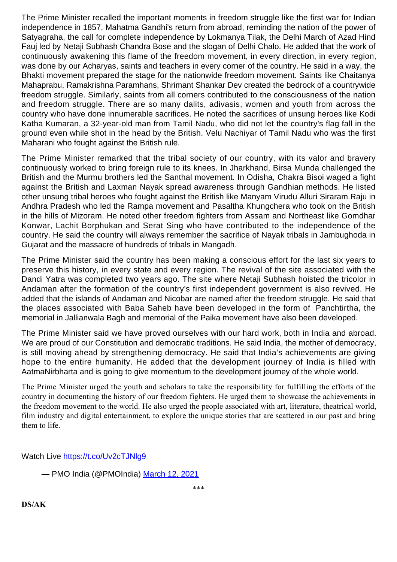The Prime Minister recalled the important moments in freedom struggle like the first war for Indian independence in 1857, Mahatma Gandhi's return from abroad, reminding the nation of the power of Satyagraha, the call for complete independence by Lokmanya Tilak, the Delhi March of Azad Hind Fauj led by Netaji Subhash Chandra Bose and the slogan of Delhi Chalo. He added that the work of continuously awakening this flame of the freedom movement, in every direction, in every region, was done by our Acharyas, saints and teachers in every corner of the country. He said in a way, the Bhakti movement prepared the stage for the nationwide freedom movement. Saints like Chaitanya Mahaprabu, Ramakrishna Paramhans, Shrimant Shankar Dev created the bedrock of a countrywide freedom struggle. Similarly, saints from all corners contributed to the consciousness of the nation and freedom struggle. There are so many dalits, adivasis, women and youth from across the country who have done innumerable sacrifices. He noted the sacrifices of unsung heroes like Kodi Katha Kumaran, a 32-year-old man from Tamil Nadu, who did not let the country's flag fall in the ground even while shot in the head by the British. Velu Nachiyar of Tamil Nadu who was the first Maharani who fought against the British rule.

The Prime Minister remarked that the tribal society of our country, with its valor and bravery continuously worked to bring foreign rule to its knees. In Jharkhand, Birsa Munda challenged the British and the Murmu brothers led the Santhal movement. In Odisha, Chakra Bisoi waged a fight against the British and Laxman Nayak spread awareness through Gandhian methods. He listed other unsung tribal heroes who fought against the British like Manyam Virudu Alluri Siraram Raju in Andhra Pradesh who led the Rampa movement and Pasaltha Khungchera who took on the British in the hills of Mizoram. He noted other freedom fighters from Assam and Northeast like Gomdhar Konwar, Lachit Borphukan and Serat Sing who have contributed to the independence of the country. He said the country will always remember the sacrifice of Nayak tribals in Jambughoda in Gujarat and the massacre of hundreds of tribals in Mangadh.

The Prime Minister said the country has been making a conscious effort for the last six years to preserve this history, in every state and every region. The revival of the site associated with the Dandi Yatra was completed two years ago. The site where Netaji Subhash hoisted the tricolor in Andaman after the formation of the country's first independent government is also revived. He added that the islands of Andaman and Nicobar are named after the freedom struggle. He said that the places associated with Baba Saheb have been developed in the form of Panchtirtha, the memorial in Jallianwala Bagh and memorial of the Paika movement have also been developed.

The Prime Minister said we have proved ourselves with our hard work, both in India and abroad. We are proud of our Constitution and democratic traditions. He said India, the mother of democracy, is still moving ahead by strengthening democracy. He said that India's achievements are giving hope to the entire humanity. He added that the development journey of India is filled with AatmaNirbharta and is going to give momentum to the development journey of the whole world.

The Prime Minister urged the youth and scholars to take the responsibility for fulfilling the efforts of the country in documenting the history of our freedom fighters. He urged them to showcase the achievements in the freedom movement to the world. He also urged the people associated with art, literature, theatrical world, film industry and digital entertainment, to explore the unique stories that are scattered in our past and bring them to life.

Watch Live https://t.co/Uv2cTJNlq9

— PMO India (@PMOIndia) [March 12, 2021](https://twitter.com/PMOIndia/status/1370261669448802304?ref_src=twsrc%5Etfw)

**DS/AK**